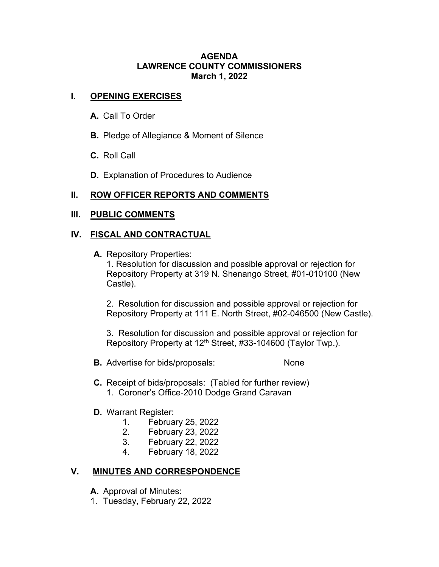#### **AGENDA LAWRENCE COUNTY COMMISSIONERS March 1, 2022**

## **I. OPENING EXERCISES**

- **A.** Call To Order
- **B.** Pledge of Allegiance & Moment of Silence
- **C.** Roll Call
- **D.** Explanation of Procedures to Audience

# **II. ROW OFFICER REPORTS AND COMMENTS**

#### **III. PUBLIC COMMENTS**

#### **IV. FISCAL AND CONTRACTUAL**

**A.** Repository Properties:

1. Resolution for discussion and possible approval or rejection for Repository Property at 319 N. Shenango Street, #01-010100 (New Castle).

2. Resolution for discussion and possible approval or rejection for Repository Property at 111 E. North Street, #02-046500 (New Castle).

3. Resolution for discussion and possible approval or rejection for Repository Property at 12<sup>th</sup> Street, #33-104600 (Taylor Twp.).

- **B.** Advertise for bids/proposals: None
- **C.** Receipt of bids/proposals: (Tabled for further review) 1. Coroner's Office-2010 Dodge Grand Caravan

# **D.** Warrant Register:

- 1. February 25, 2022
- 2. February 23, 2022
- 3. February 22, 2022
- 4. February 18, 2022

# **V. MINUTES AND CORRESPONDENCE**

**A.** Approval of Minutes:

1. Tuesday, February 22, 2022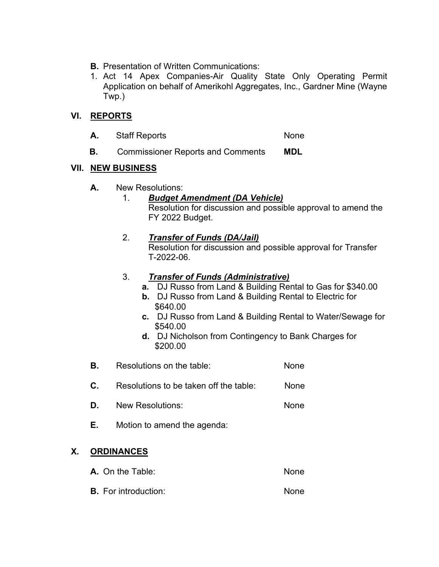- **B.** Presentation of Written Communications:
- 1. Act 14 Apex Companies-Air Quality State Only Operating Permit Application on behalf of Amerikohl Aggregates, Inc., Gardner Mine (Wayne Twp.)

# **VI. REPORTS**

- A. Staff Reports None
- **B.** Commissioner Reports and Comments **MDL**

## **VII. NEW BUSINESS**

**A.** New Resolutions:

# 1. *Budget Amendment (DA Vehicle)*

Resolution for discussion and possible approval to amend the FY 2022 Budget.

## 2. *Transfer of Funds (DA/Jail)*

Resolution for discussion and possible approval for Transfer T-2022-06.

## 3. *Transfer of Funds (Administrative)*

- **a.** DJ Russo from Land & Building Rental to Gas for \$340.00
- **b.** DJ Russo from Land & Building Rental to Electric for \$640.00
- **c.** DJ Russo from Land & Building Rental to Water/Sewage for \$540.00
- **d.** DJ Nicholson from Contingency to Bank Charges for \$200.00
- **B.** Resolutions on the table: None **C.** Resolutions to be taken off the table: None
- 
- **D.** New Resolutions: None
- **E.** Motion to amend the agenda:

# **X. ORDINANCES**

- **A.** On the Table: None
- **B.** For introduction: None